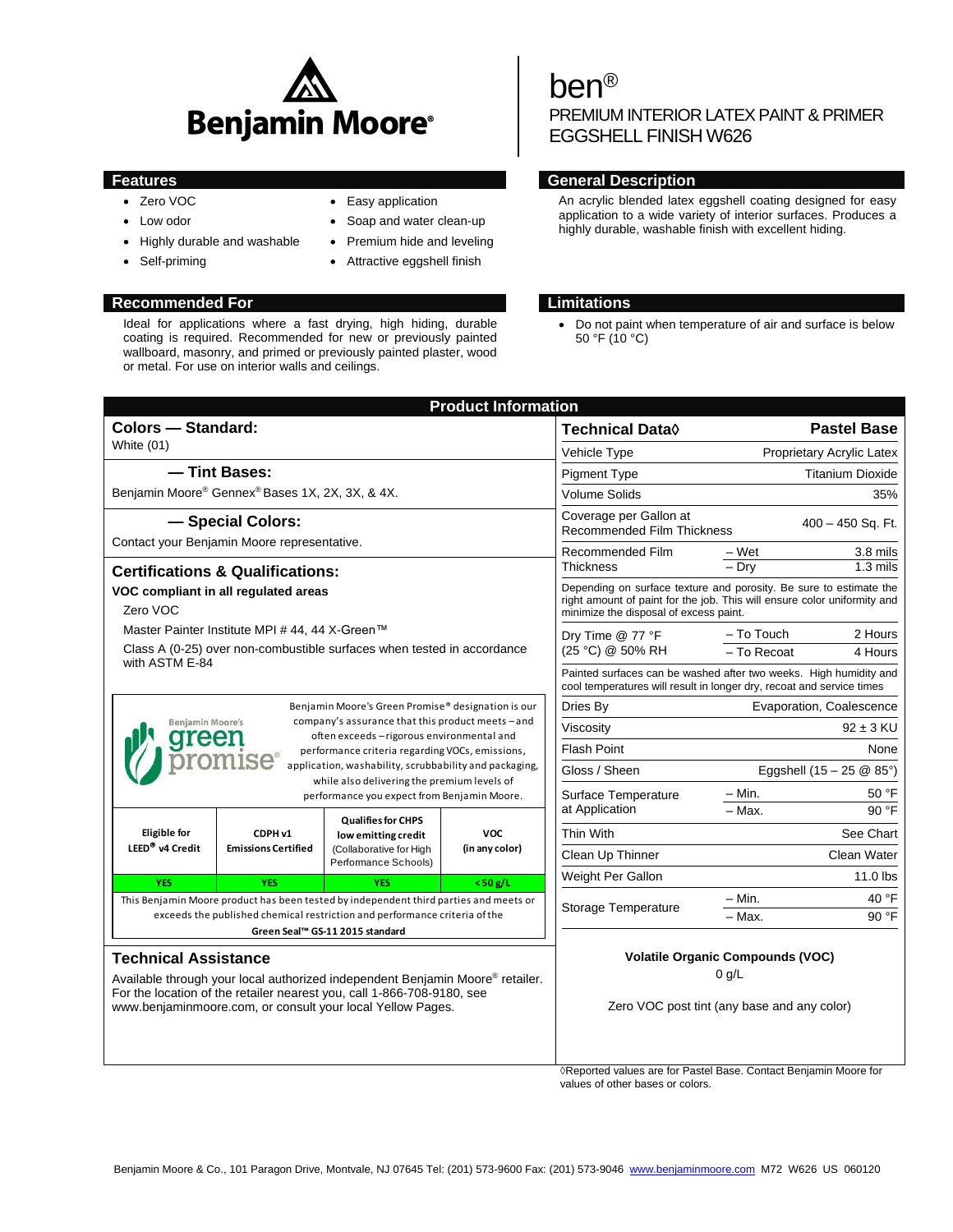

- Zero VOC
- Low odor
- Highly durable and washable
- Self-priming
- Easy application
- Soap and water clean-up
- Premium hide and leveling
- Attractive eggshell finish

## **Recommended For Limitations**

Ideal for applications where a fast drying, high hiding, durable coating is required. Recommended for new or previously painted wallboard, masonry, and primed or previously painted plaster, wood or metal. For use on interior walls and ceilings.

# ben®

PREMIUM INTERIOR LATEX PAINT & PRIMER EGGSHELL FINISH W626

## **Features General Description**

An acrylic blended latex eggshell coating designed for easy application to a wide variety of interior surfaces. Produces a highly durable, washable finish with excellent hiding.

 Do not paint when temperature of air and surface is below 50 °F (10 °C)

|                                                                                                                                                                                                                                                                                                                                                                                                                    |                                                                                                     | <b>Product Information</b>   |                                                                                                                                                                                          |                                    |                     |
|--------------------------------------------------------------------------------------------------------------------------------------------------------------------------------------------------------------------------------------------------------------------------------------------------------------------------------------------------------------------------------------------------------------------|-----------------------------------------------------------------------------------------------------|------------------------------|------------------------------------------------------------------------------------------------------------------------------------------------------------------------------------------|------------------------------------|---------------------|
| <b>Colors - Standard:</b>                                                                                                                                                                                                                                                                                                                                                                                          |                                                                                                     |                              | <b>Technical Data</b> ♦                                                                                                                                                                  | <b>Pastel Base</b>                 |                     |
| White (01)                                                                                                                                                                                                                                                                                                                                                                                                         |                                                                                                     |                              | Vehicle Type                                                                                                                                                                             | Proprietary Acrylic Latex          |                     |
| -Tint Bases:                                                                                                                                                                                                                                                                                                                                                                                                       |                                                                                                     |                              | <b>Pigment Type</b>                                                                                                                                                                      | <b>Titanium Dioxide</b>            |                     |
| Benjamin Moore® Gennex® Bases 1X, 2X, 3X, & 4X.                                                                                                                                                                                                                                                                                                                                                                    |                                                                                                     |                              | <b>Volume Solids</b>                                                                                                                                                                     | 35%                                |                     |
| - Special Colors:                                                                                                                                                                                                                                                                                                                                                                                                  |                                                                                                     |                              | Coverage per Gallon at<br>$400 - 450$ Sq. Ft.<br>Recommended Film Thickness                                                                                                              |                                    |                     |
| Contact your Benjamin Moore representative.                                                                                                                                                                                                                                                                                                                                                                        |                                                                                                     |                              | Recommended Film<br>Thickness                                                                                                                                                            | – Wet                              | 3.8 mils            |
| <b>Certifications &amp; Qualifications:</b>                                                                                                                                                                                                                                                                                                                                                                        |                                                                                                     |                              |                                                                                                                                                                                          | $-$ Dry                            | $1.3 \text{ miles}$ |
| VOC compliant in all regulated areas<br>Zero VOC                                                                                                                                                                                                                                                                                                                                                                   |                                                                                                     |                              | Depending on surface texture and porosity. Be sure to estimate the<br>right amount of paint for the job. This will ensure color uniformity and<br>minimize the disposal of excess paint. |                                    |                     |
| Master Painter Institute MPI # 44, 44 X-Green™<br>Class A (0-25) over non-combustible surfaces when tested in accordance<br>with ASTM E-84                                                                                                                                                                                                                                                                         |                                                                                                     |                              | Dry Time @ 77 °F<br>(25 °C) @ 50% RH                                                                                                                                                     | - To Touch                         | 2 Hours             |
|                                                                                                                                                                                                                                                                                                                                                                                                                    |                                                                                                     |                              |                                                                                                                                                                                          | - To Recoat                        | 4 Hours             |
|                                                                                                                                                                                                                                                                                                                                                                                                                    |                                                                                                     |                              | Painted surfaces can be washed after two weeks. High humidity and<br>cool temperatures will result in longer dry, recoat and service times                                               |                                    |                     |
| Benjamin Moore's Green Promise® designation is our<br>company's assurance that this product meets - and<br><b>Benjamin Moore's</b><br>often exceeds - rigorous environmental and<br>greer<br>performance criteria regarding VOCs, emissions,<br><b>ISe</b><br>application, washability, scrubbability and packaging,<br>while also delivering the premium levels of<br>performance you expect from Benjamin Moore. |                                                                                                     |                              | Dries By                                                                                                                                                                                 | Evaporation, Coalescence           |                     |
|                                                                                                                                                                                                                                                                                                                                                                                                                    |                                                                                                     |                              | Viscosity                                                                                                                                                                                | $92 \pm 3$ KU                      |                     |
|                                                                                                                                                                                                                                                                                                                                                                                                                    |                                                                                                     |                              | <b>Flash Point</b>                                                                                                                                                                       | None                               |                     |
|                                                                                                                                                                                                                                                                                                                                                                                                                    |                                                                                                     |                              | Gloss / Sheen                                                                                                                                                                            | Eggshell $(15 - 25 \& 85^{\circ})$ |                     |
|                                                                                                                                                                                                                                                                                                                                                                                                                    |                                                                                                     |                              | Surface Temperature                                                                                                                                                                      | $-$ Min.                           | 50 °F               |
| <b>Eligible for</b><br>CDPH v1<br>LEED <sup>®</sup> v4 Credit<br><b>Emissions Certified</b>                                                                                                                                                                                                                                                                                                                        | <b>Qualifies for CHPS</b><br>low emitting credit<br>(Collaborative for High<br>Performance Schools) | <b>VOC</b><br>(in any color) | at Application                                                                                                                                                                           | $-$ Max.                           | 90 °F               |
|                                                                                                                                                                                                                                                                                                                                                                                                                    |                                                                                                     |                              | Thin With                                                                                                                                                                                |                                    | See Chart           |
|                                                                                                                                                                                                                                                                                                                                                                                                                    |                                                                                                     |                              | Clean Up Thinner                                                                                                                                                                         |                                    | Clean Water         |
| <b>YES</b><br><b>YES</b>                                                                                                                                                                                                                                                                                                                                                                                           | <b>YES</b>                                                                                          | $<$ 50 g/L                   | Weight Per Gallon                                                                                                                                                                        |                                    | $11.0$ lbs          |
| This Benjamin Moore product has been tested by independent third parties and meets or                                                                                                                                                                                                                                                                                                                              |                                                                                                     |                              | Storage Temperature                                                                                                                                                                      | $-$ Min.                           | 40 °F               |
| exceeds the published chemical restriction and performance criteria of the                                                                                                                                                                                                                                                                                                                                         |                                                                                                     |                              |                                                                                                                                                                                          | - Max.                             | 90 °F               |
| Green Seal™ GS-11 2015 standard<br><b>Technical Assistance</b>                                                                                                                                                                                                                                                                                                                                                     |                                                                                                     |                              | <b>Volatile Organic Compounds (VOC)</b><br>$0$ g/L                                                                                                                                       |                                    |                     |
| Available through your local authorized independent Benjamin Moore® retailer.                                                                                                                                                                                                                                                                                                                                      |                                                                                                     |                              |                                                                                                                                                                                          |                                    |                     |
| For the location of the retailer nearest you, call 1-866-708-9180, see<br>www.benjaminmoore.com, or consult your local Yellow Pages.                                                                                                                                                                                                                                                                               | Zero VOC post tint (any base and any color)                                                         |                              |                                                                                                                                                                                          |                                    |                     |

◊Reported values are for Pastel Base. Contact Benjamin Moore for values of other bases or colors.